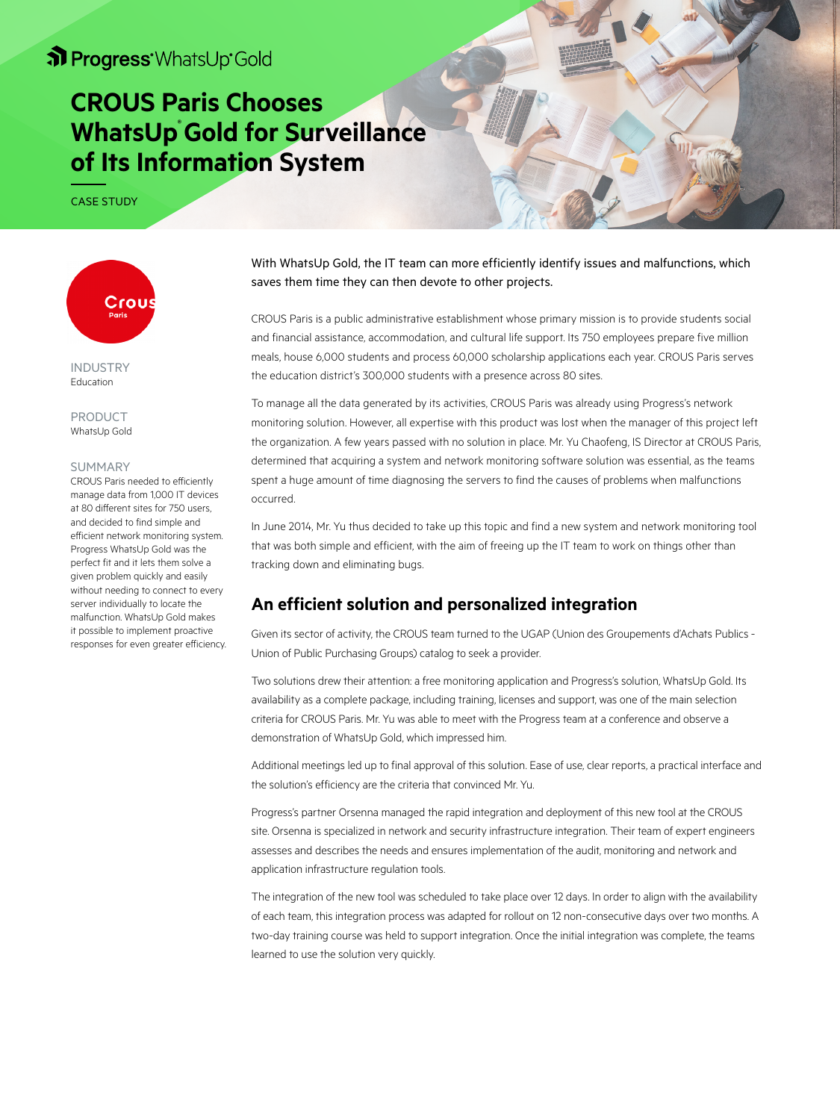# **CROUS Paris Chooses WhatsUp Gold for Surveillance of Its Information System**

CASE STUDY



INDUSTRY Education

PRODUCT WhatsUp Gold

#### SUMMARY

CROUS Paris needed to efficiently manage data from 1,000 IT devices at 80 different sites for 750 users, and decided to find simple and efficient network monitoring system. Progress WhatsUp Gold was the perfect fit and it lets them solve a given problem quickly and easily without needing to connect to every server individually to locate the malfunction. WhatsUp Gold makes it possible to implement proactive responses for even greater efficiency. With WhatsUp Gold, the IT team can more efficiently identify issues and malfunctions, which saves them time they can then devote to other projects.

CROUS Paris is a public administrative establishment whose primary mission is to provide students social and financial assistance, accommodation, and cultural life support. Its 750 employees prepare five million meals, house 6,000 students and process 60,000 scholarship applications each year. CROUS Paris serves the education district's 300,000 students with a presence across 80 sites.

To manage all the data generated by its activities, CROUS Paris was already using Progress's network monitoring solution. However, all expertise with this product was lost when the manager of this project left the organization. A few years passed with no solution in place. Mr. Yu Chaofeng, IS Director at CROUS Paris, determined that acquiring a system and network monitoring software solution was essential, as the teams spent a huge amount of time diagnosing the servers to find the causes of problems when malfunctions occurred.

In June 2014, Mr. Yu thus decided to take up this topic and find a new system and network monitoring tool that was both simple and efficient, with the aim of freeing up the IT team to work on things other than tracking down and eliminating bugs.

### **An efficient solution and personalized integration**

Given its sector of activity, the CROUS team turned to the UGAP (Union des Groupements d'Achats Publics - Union of Public Purchasing Groups) catalog to seek a provider.

Two solutions drew their attention: a free monitoring application and Progress's solution, WhatsUp Gold. Its availability as a complete package, including training, licenses and support, was one of the main selection criteria for CROUS Paris. Mr. Yu was able to meet with the Progress team at a conference and observe a demonstration of WhatsUp Gold, which impressed him.

Additional meetings led up to final approval of this solution. Ease of use, clear reports, a practical interface and the solution's efficiency are the criteria that convinced Mr. Yu.

Progress's partner Orsenna managed the rapid integration and deployment of this new tool at the CROUS site. Orsenna is specialized in network and security infrastructure integration. Their team of expert engineers assesses and describes the needs and ensures implementation of the audit, monitoring and network and application infrastructure regulation tools.

The integration of the new tool was scheduled to take place over 12 days. In order to align with the availability of each team, this integration process was adapted for rollout on 12 non-consecutive days over two months. A two-day training course was held to support integration. Once the initial integration was complete, the teams learned to use the solution very quickly.